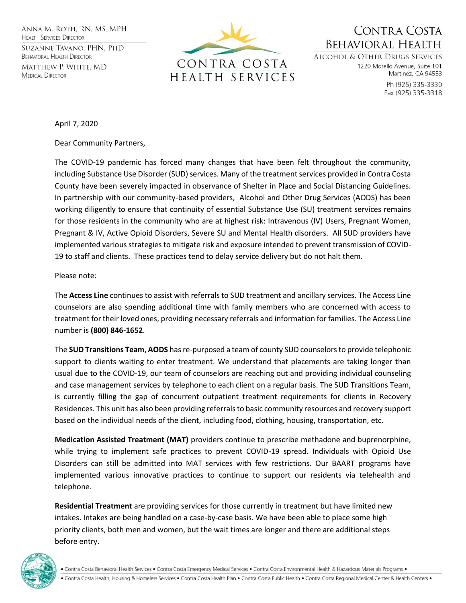ANNA M. ROTH. RN. MS. MPH **HEALTH SERVICES DIRECTOR** 

SUZANNE TAVANO, PHN, PHD **BEHAVIORAL HEALTH DIRECTOR** MATTHEW P. WHITE, MD **MEDICAL DIRECTOR** 



CONTRA COSTA **BEHAVIORAL HEALTH** 

**ALCOHOL & OTHER DRUGS SERVICES** 1220 Morello Avenue, Suite 101 Martinez, CA 94553

> Ph (925) 335-3330 Fax (925) 335-3318

April 7, 2020

Dear Community Partners,

The COVID-19 pandemic has forced many changes that have been felt throughout the community, including Substance Use Disorder (SUD) services. Many of the treatment services provided in Contra Costa County have been severely impacted in observance of Shelter in Place and Social Distancing Guidelines. In partnership with our community-based providers, Alcohol and Other Drug Services (AODS) has been working diligently to ensure that continuity of essential Substance Use (SU) treatment services remains for those residents in the community who are at highest risk: Intravenous (IV) Users, Pregnant Women, Pregnant & IV, Active Opioid Disorders, Severe SU and Mental Health disorders. All SUD providers have implemented various strategies to mitigate risk and exposure intended to prevent transmission of COVID-19 to staff and clients. These practices tend to delay service delivery but do not halt them.

## Please note:

The **Access Line** continues to assist with referrals to SUD treatment and ancillary services. The Access Line counselors are also spending additional time with family members who are concerned with access to treatment for their loved ones, providing necessary referrals and information for families. The Access Line number is **(800) 846-1652**.

The **SUD Transitions Team**, **AODS** has re-purposed a team of county SUD counselors to provide telephonic support to clients waiting to enter treatment. We understand that placements are taking longer than usual due to the COVID-19, our team of counselors are reaching out and providing individual counseling and case management services by telephone to each client on a regular basis. The SUD Transitions Team, is currently filling the gap of concurrent outpatient treatment requirements for clients in Recovery Residences. This unit has also been providing referrals to basic community resources and recovery support based on the individual needs of the client, including food, clothing, housing, transportation, etc.

**Medication Assisted Treatment (MAT)** providers continue to prescribe methadone and buprenorphine, while trying to implement safe practices to prevent COVID-19 spread. Individuals with Opioid Use Disorders can still be admitted into MAT services with few restrictions. Our BAART programs have implemented various innovative practices to continue to support our residents via telehealth and telephone.

**Residential Treatment** are providing services for those currently in treatment but have limited new intakes. Intakes are being handled on a case-by-case basis. We have been able to place some high priority clients, both men and women, but the wait times are longer and there are additional steps before entry.